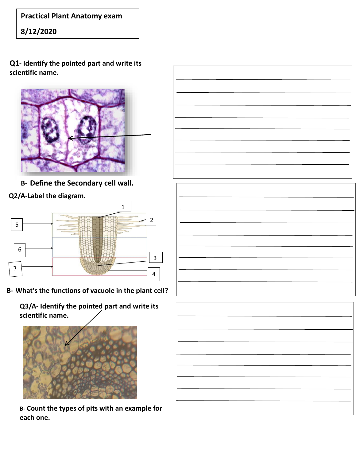**Practical Plant Anatomy exam**

**8/12/2020** 

**Q1- Identify the pointed part and write its scientific name.**



**B- Define the Secondary cell wall.**

**Q2/A-Label the diagram.**



**B- What's the functions of vacuole in the plant cell?**

**Q3/A- Identify the pointed part and write its scientific name.**



**B- Count the types of pits with an example for each one.**



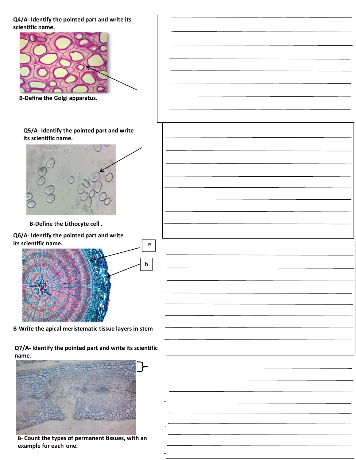**Q4/A- Identify the pointed part and write its scientific name.**



**B-Define the Golgi apparatus.**

## **Q5/A- Identify the pointed part and write its scientific name.**



**B-Define the Lithocyte cell .**

**Q6/A- Identify the pointed part and write its scientific name.**



**B-Write the apical meristematic tissue layers in stem**

**Q7/A- Identify the pointed part and write its scientific name.**



**B- Count the types of permanent tissues, with an example for each one.**